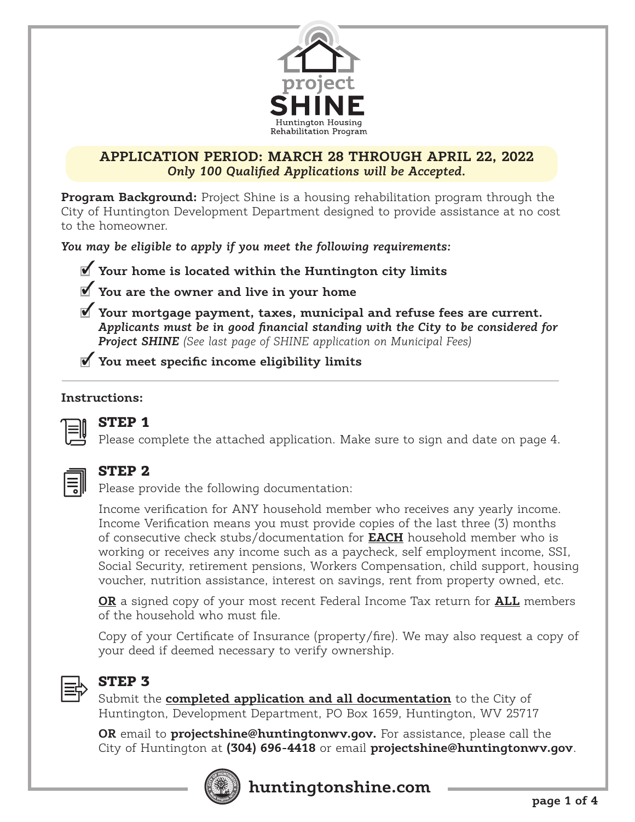

#### **APPLICATION PERIOD: MARCH 28 THROUGH APRIL 22, 2022**  *Only 100 Qualified Applications will be Accepted.*

**Program Background:** Project Shine is a housing rehabilitation program through the City of Huntington Development Department designed to provide assistance at no cost to the homeowner.

*You may be eligible to apply if you meet the following requirements:*

**Your home is located within the Huntington city limits**

**You are the owner and live in your home**

**Your mortgage payment, taxes, municipal and refuse fees are current.**  *Applicants must be in good financial standing with the City to be considered for Project SHINE (See last page of SHINE application on Municipal Fees)*

**You meet specific income eligibility limits**

#### **Instructions:**

## **STEP 1**

Please complete the attached application. Make sure to sign and date on page 4.

## **STEP 2**

Please provide the following documentation:

Income verification for ANY household member who receives any yearly income. Income Verification means you must provide copies of the last three (3) months of consecutive check stubs/documentation for **EACH** household member who is working or receives any income such as a paycheck, self employment income, SSI, Social Security, retirement pensions, Workers Compensation, child support, housing voucher, nutrition assistance, interest on savings, rent from property owned, etc.

**OR** a signed copy of your most recent Federal Income Tax return for **ALL** members of the household who must file.

Copy of your Certificate of Insurance (property/fire). We may also request a copy of your deed if deemed necessary to verify ownership.



#### **STEP 3**

Submit the **completed application and all documentation** to the City of Huntington, Development Department, PO Box 1659, Huntington, WV 25717

**OR** email to **projectshine@huntingtonwv.gov.** For assistance, please call the City of Huntington at **(304) 696-4418** or email **projectshine@huntingtonwv.gov**.



**huntingtonshine.com**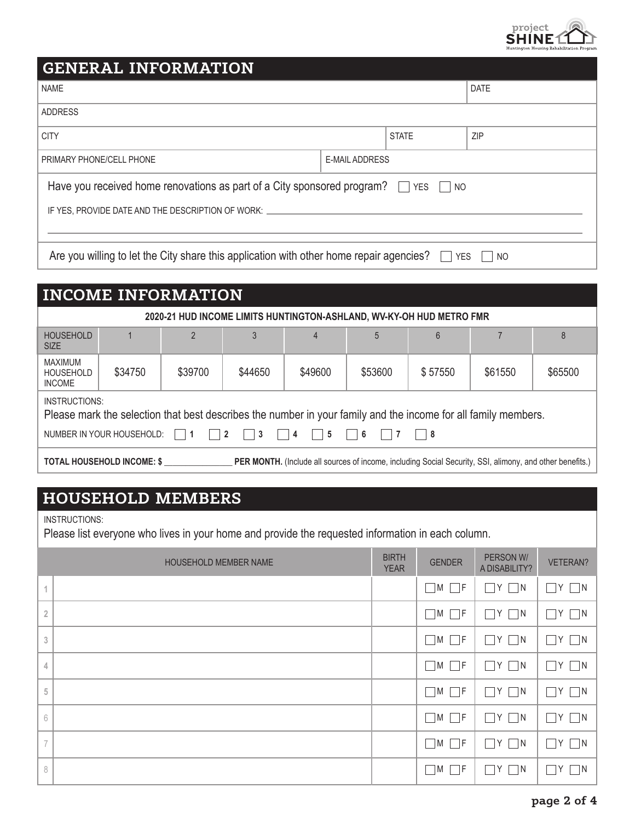

# **GENERAL INFORMATION**

| <b>NAME</b><br>.   = |  | <b>DATE</b> |
|----------------------|--|-------------|
|----------------------|--|-------------|

| ۱Г<br>c<br>١D |  |
|---------------|--|

| <b>ADDRESS</b>                                                                               |                       |              |                |  |  |
|----------------------------------------------------------------------------------------------|-----------------------|--------------|----------------|--|--|
| <b>CITY</b>                                                                                  |                       | <b>STATE</b> | <b>ZIP</b>     |  |  |
| PRIMARY PHONE/CELL PHONE                                                                     | <b>E-MAIL ADDRESS</b> |              |                |  |  |
| Have you received home renovations as part of a City sponsored program? $\Box$ YES $\Box$ NO |                       |              |                |  |  |
| IF YES, PROVIDE DATE AND THE DESCRIPTION OF WORK: ________________                           |                       |              |                |  |  |
|                                                                                              |                       |              |                |  |  |
| Are you willing to let the City share this application with other home repair agencies?      |                       | l YES        | N <sub>O</sub> |  |  |

| <b>INCOME INFORMATION</b>                                                                                                                                                                                              |                                                                      |                |         |                |         |         |         |         |
|------------------------------------------------------------------------------------------------------------------------------------------------------------------------------------------------------------------------|----------------------------------------------------------------------|----------------|---------|----------------|---------|---------|---------|---------|
|                                                                                                                                                                                                                        | 2020-21 HUD INCOME LIMITS HUNTINGTON-ASHLAND, WV-KY-OH HUD METRO FMR |                |         |                |         |         |         |         |
| <b>HOUSEHOLD</b><br><b>SIZE</b>                                                                                                                                                                                        |                                                                      | $\overline{2}$ |         | $\overline{4}$ | 5       | 6       |         | 8       |
| <b>MAXIMUM</b><br><b>HOUSEHOLD</b><br><b>INCOME</b>                                                                                                                                                                    | \$34750                                                              | \$39700        | \$44650 | \$49600        | \$53600 | \$57550 | \$61550 | \$65500 |
| INSTRUCTIONS:<br>Please mark the selection that best describes the number in your family and the income for all family members.<br>NUMBER IN YOUR HOUSEHOLD:<br>3<br>5<br>$\overline{2}$<br>$\vert 8$<br>4<br>-6<br>-1 |                                                                      |                |         |                |         |         |         |         |
| <b>TOTAL HOUSEHOLD INCOME: \$</b><br><b>PER MONTH.</b> (Include all sources of income, including Social Security, SSI, alimony, and other benefits.)                                                                   |                                                                      |                |         |                |         |         |         |         |

# **HOUSEHOLD MEMBERS**

INSTRUCTIONS:

Please list everyone who lives in your home and provide the requested information in each column.

|                | <b>HOUSEHOLD MEMBER NAME</b> | <b>BIRTH</b><br><b>YEAR</b> | <b>GENDER</b>        | PERSON W/<br>A DISABILITY?                | <b>VETERAN?</b> |
|----------------|------------------------------|-----------------------------|----------------------|-------------------------------------------|-----------------|
| $\overline{1}$ |                              |                             | $\Box M \Box F$      | ᄀ<br>Υ<br>$\Box$ N                        | $Y \Box N$      |
| $\overline{2}$ |                              |                             | $\Box M$ $\Box F$    | Υ<br>$\Box$<br>$\Box$ N                   | $Y \prod N$     |
| $3\,$          |                              |                             | $\Box M$ $\Box F$    | Y<br>$\Box$ N<br>$\blacksquare$           | $Y \Box N$      |
| 4              |                              |                             | $\Box M$ $\Box F$    | $\Box$ N<br>$\mathbf{I}$<br>Y             | $Y \Box N$      |
| 5              |                              |                             | $\Box M \Box F$      | Y<br>$\Box N$<br>$\overline{\phantom{0}}$ | $Y \Box N$      |
| 6              |                              |                             | $\Box M \Box F$      | $\Box N$<br>$\overline{\phantom{a}}$<br>Υ | l Y<br>$\Box N$ |
| $\overline{7}$ |                              |                             | $\Box$ M<br>$\Box$ f | ┓<br>$\Box N$<br>Y                        | l Y<br>$\Box N$ |
| 8              |                              |                             | $\Box M \Box F$      | $\Box N$<br>$\sim$<br>Υ                   | Y<br>$\Box$ N   |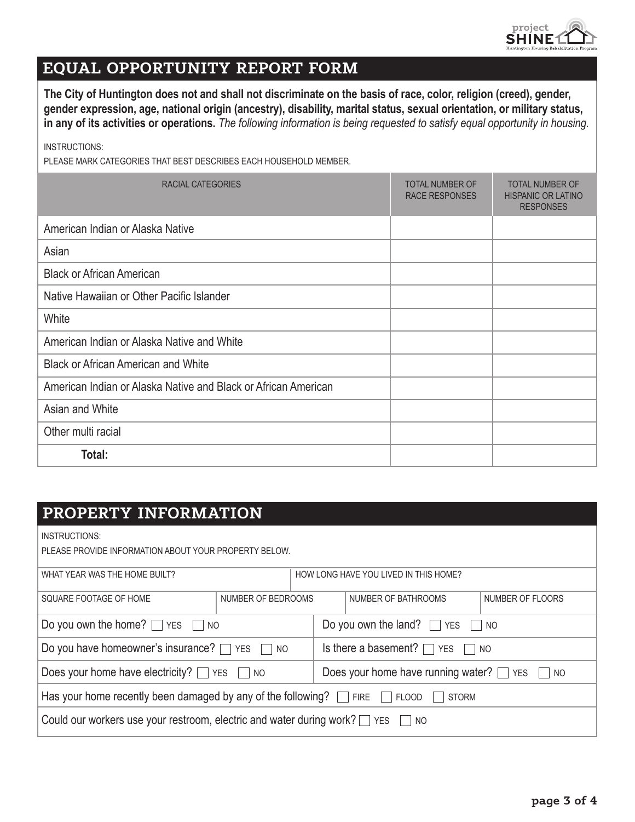

# **EQUAL OPPORTUNITY REPORT FORM**

**The City of Huntington does not and shall not discriminate on the basis of race, color, religion (creed), gender, gender expression, age, national origin (ancestry), disability, marital status, sexual orientation, or military status, in any of its activities or operations.** *The following information is being requested to satisfy equal opportunity in housing.* 

INSTRUCTIONS:

PLEASE MARK CATEGORIES THAT BEST DESCRIBES EACH HOUSEHOLD MEMBER.

| RACIAL CATEGORIES                                              | <b>TOTAL NUMBER OF</b><br><b>RACE RESPONSES</b> | <b>TOTAL NUMBER OF</b><br><b>HISPANIC OR LATINO</b><br><b>RESPONSES</b> |
|----------------------------------------------------------------|-------------------------------------------------|-------------------------------------------------------------------------|
| American Indian or Alaska Native                               |                                                 |                                                                         |
| Asian                                                          |                                                 |                                                                         |
| <b>Black or African American</b>                               |                                                 |                                                                         |
| Native Hawaiian or Other Pacific Islander                      |                                                 |                                                                         |
| White                                                          |                                                 |                                                                         |
| American Indian or Alaska Native and White                     |                                                 |                                                                         |
| <b>Black or African American and White</b>                     |                                                 |                                                                         |
| American Indian or Alaska Native and Black or African American |                                                 |                                                                         |
| Asian and White                                                |                                                 |                                                                         |
| Other multi racial                                             |                                                 |                                                                         |
| Total:                                                         |                                                 |                                                                         |

# **PROPERTY INFORMATION**

INSTRUCTIONS:

| PLEASE PROVIDE INFORMATION ABOUT YOUR PROPERTY BELOW.                                                 |                    |  |                                                         |                     |                  |  |
|-------------------------------------------------------------------------------------------------------|--------------------|--|---------------------------------------------------------|---------------------|------------------|--|
| WHAT YEAR WAS THE HOME BUILT?                                                                         |                    |  | HOW LONG HAVE YOU LIVED IN THIS HOME?                   |                     |                  |  |
| SQUARE FOOTAGE OF HOME                                                                                | NUMBER OF BEDROOMS |  |                                                         | NUMBER OF BATHROOMS | NUMBER OF FLOORS |  |
| Do you own the home? $\Box$ YES $\Box$ NO<br>Do you own the land? $\Box$ YES $\Box$ NO                |                    |  |                                                         |                     |                  |  |
| Do you have homeowner's insurance? $\Box$ YES $\Box$ NO<br>Is there a basement? $\Box$ YES $\Box$ NO  |                    |  |                                                         |                     |                  |  |
| Does your home have electricity? $\Box$ YES $\Box$ NO                                                 |                    |  | Does your home have running water? $\Box$ YES $\Box$ NO |                     |                  |  |
| Has your home recently been damaged by any of the following? $\Box$ FIRE $\Box$ FLOOD<br><b>STORM</b> |                    |  |                                                         |                     |                  |  |
| Could our workers use your restroom, electric and water during work? $\Box$ YES $\Box$ NO             |                    |  |                                                         |                     |                  |  |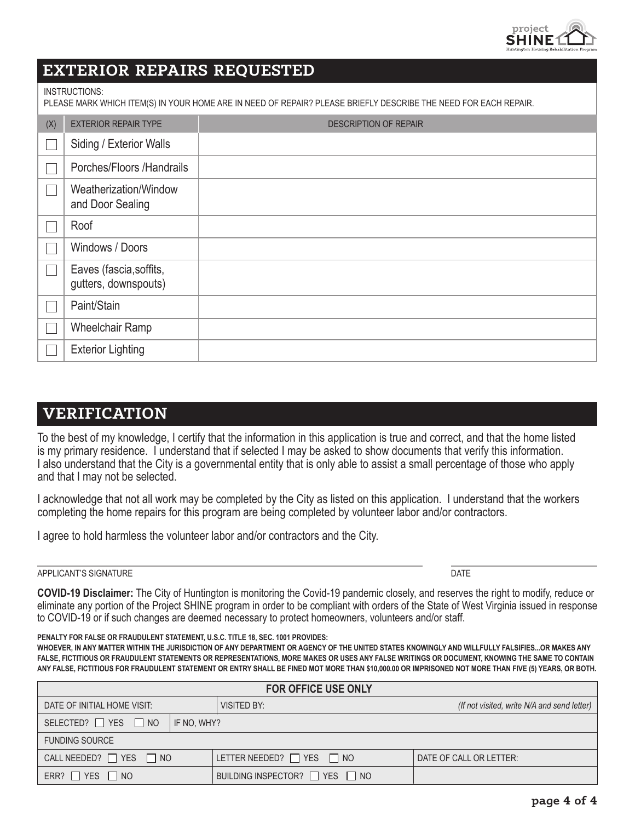

|     | <b>EXTERIOR REPAIRS REQUESTED</b>                                                                                                       |                              |  |  |  |  |  |
|-----|-----------------------------------------------------------------------------------------------------------------------------------------|------------------------------|--|--|--|--|--|
|     | <b>INSTRUCTIONS:</b><br>PLEASE MARK WHICH ITEM(S) IN YOUR HOME ARE IN NEED OF REPAIR? PLEASE BRIEFLY DESCRIBE THE NEED FOR EACH REPAIR. |                              |  |  |  |  |  |
| (X) | <b>EXTERIOR REPAIR TYPE</b>                                                                                                             | <b>DESCRIPTION OF REPAIR</b> |  |  |  |  |  |
|     | Siding / Exterior Walls                                                                                                                 |                              |  |  |  |  |  |
|     | Porches/Floors /Handrails                                                                                                               |                              |  |  |  |  |  |
|     | Weatherization/Window<br>and Door Sealing                                                                                               |                              |  |  |  |  |  |
|     | Roof                                                                                                                                    |                              |  |  |  |  |  |
|     | Windows / Doors                                                                                                                         |                              |  |  |  |  |  |
|     | Eaves (fascia, soffits,<br>gutters, downspouts)                                                                                         |                              |  |  |  |  |  |
|     | Paint/Stain                                                                                                                             |                              |  |  |  |  |  |
|     | <b>Wheelchair Ramp</b>                                                                                                                  |                              |  |  |  |  |  |
|     | <b>Exterior Lighting</b>                                                                                                                |                              |  |  |  |  |  |

# **VERIFICATION**

To the best of my knowledge, I certify that the information in this application is true and correct, and that the home listed is my primary residence. I understand that if selected I may be asked to show documents that verify this information. I also understand that the City is a governmental entity that is only able to assist a small percentage of those who apply and that I may not be selected.

I acknowledge that not all work may be completed by the City as listed on this application. I understand that the workers completing the home repairs for this program are being completed by volunteer labor and/or contractors.

I agree to hold harmless the volunteer labor and/or contractors and the City.

#### APPLICANT'S SIGNATURE **DATE**

**COVID-19 Disclaimer:** The City of Huntington is monitoring the Covid-19 pandemic closely, and reserves the right to modify, reduce or eliminate any portion of the Project SHINE program in order to be compliant with orders of the State of West Virginia issued in response to COVID-19 or if such changes are deemed necessary to protect homeowners, volunteers and/or staff.

**PENALTY FOR FALSE OR FRAUDULENT STATEMENT, U.S.C. TITLE 18, SEC. 1001 PROVIDES:**

**WHOEVER, IN ANY MATTER WITHIN THE JURISDICTION OF ANY DEPARTMENT OR AGENCY OF THE UNITED STATES KNOWINGLY AND WILLFULLY FALSIFIES...OR MAKES ANY FALSE, FICTITIOUS OR FRAUDULENT STATEMENTS OR REPRESENTATIONS, MORE MAKES OR USES ANY FALSE WRITINGS OR DOCUMENT, KNOWING THE SAME TO CONTAIN ANY FALSE, FICTITIOUS FOR FRAUDULENT STATEMENT OR ENTRY SHALL BE FINED MOT MORE THAN \$10,000.00 OR IMPRISONED NOT MORE THAN FIVE (5) YEARS, OR BOTH.**

| <b>FOR OFFICE USE ONLY</b>                                 |                         |                                          |                                             |  |  |  |
|------------------------------------------------------------|-------------------------|------------------------------------------|---------------------------------------------|--|--|--|
| DATE OF INITIAL HOME VISIT:                                |                         | VISITED BY:                              | (If not visited, write N/A and send letter) |  |  |  |
| SELECTED? $\Box$ YES $\Box$ NO<br>$\mathsf{I}$ IF NO. WHY? |                         |                                          |                                             |  |  |  |
| <b>FUNDING SOURCE</b>                                      |                         |                                          |                                             |  |  |  |
| CALL NEEDED? $\Box$ YES $\Box$ NO                          | DATE OF CALL OR LETTER: |                                          |                                             |  |  |  |
| ERR? $\Box$ YES $\Box$ NO                                  |                         | BUILDING INSPECTOR? $\Box$ YES $\Box$ NO |                                             |  |  |  |